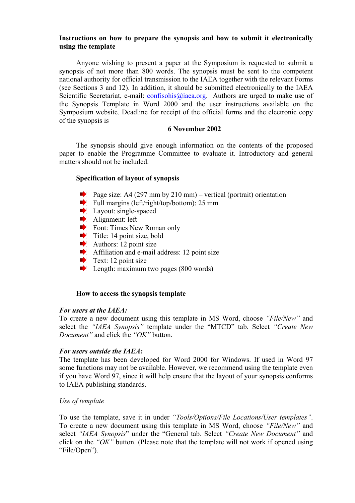# **Instructions on how to prepare the synopsis and how to submit it electronically using the template**

Anyone wishing to present a paper at the Symposium is requested to submit a synopsis of not more than 800 words. The synopsis must be sent to the competent national authority for official transmission to the IAEA together with the relevant Forms (see Sections 3 and 12). In addition, it should be submitted electronically to the IAEA Scientific Secretariat, e-mail: confisohis@iaea.org. Authors are urged to make use of the Synopsis Template in Word 2000 and the user instructions available on the Symposium website. Deadline for receipt of the official forms and the electronic copy of the synopsis is

# **6 November 2002**

The synopsis should give enough information on the contents of the proposed paper to enable the Programme Committee to evaluate it. Introductory and general matters should not be included.

# **Specification of layout of synopsis**

- Page size: A4 (297 mm by 210 mm) vertical (portrait) orientation
- Full margins (left/right/top/bottom):  $25 \text{ mm}$
- **Layout:** single-spaced
- Alignment: left
- Font: Times New Roman only
- $\blacktriangleright$  Title: 14 point size, bold
- Authors: 12 point size
- Affiliation and e-mail address: 12 point size
- $\blacktriangleright$  Text: 12 point size
- $\blacktriangleright$  Length: maximum two pages (800 words)

# **How to access the synopsis template**

# *For users at the IAEA:*

To create a new document using this template in MS Word, choose *"File/New"* and select the *"IAEA Synopsis"* template under the "MTCD" tab. Select *"Create New Document"* and click the *"OK"* button.

# *For users outside the IAEA:*

The template has been developed for Word 2000 for Windows. If used in Word 97 some functions may not be available. However, we recommend using the template even if you have Word 97, since it will help ensure that the layout of your synopsis conforms to IAEA publishing standards.

# *Use of template*

To use the template, save it in under *"Tools/Options/File Locations/User templates"*. To create a new document using this template in MS Word, choose *"File/New"* and select *"IAEA Synopsis*" under the "General tab*.* Select *"Create New Document"* and click on the *"OK"* button. (Please note that the template will not work if opened using "File/Open").